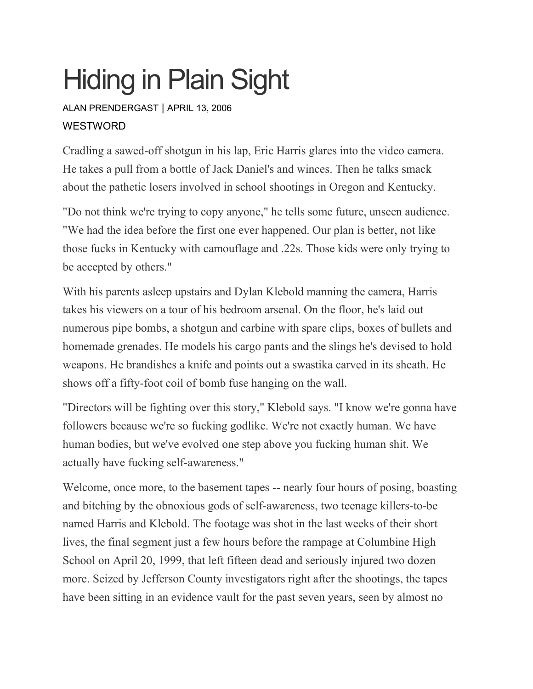## Hiding in Plain Sight

ALAN [PRENDERGAST](https://www.westword.com/authors/alan-prendergast-5052731) | APRIL 13, 2006 **WESTWORD** 

Cradling a sawed-off shotgun in his lap, Eric Harris glares into the video camera. He takes a pull from a bottle of Jack Daniel's and winces. Then he talks smack about the pathetic losers involved in school shootings in Oregon and Kentucky.

"Do not think we're trying to copy anyone," he tells some future, unseen audience. "We had the idea before the first one ever happened. Our plan is better, not like those fucks in Kentucky with camouflage and .22s. Those kids were only trying to be accepted by others."

With his parents asleep upstairs and Dylan Klebold manning the camera, Harris takes his viewers on a tour of his bedroom arsenal. On the floor, he's laid out numerous pipe bombs, a shotgun and carbine with spare clips, boxes of bullets and homemade grenades. He models his cargo pants and the slings he's devised to hold weapons. He brandishes a knife and points out a swastika carved in its sheath. He shows off a fifty-foot coil of bomb fuse hanging on the wall.

"Directors will be fighting over this story," Klebold says. "I know we're gonna have followers because we're so fucking godlike. We're not exactly human. We have human bodies, but we've evolved one step above you fucking human shit. We actually have fucking self-awareness."

Welcome, once more, to the basement tapes -- nearly four hours of posing, boasting and bitching by the obnoxious gods of self-awareness, two teenage killers-to-be named Harris and Klebold. The footage was shot in the last weeks of their short lives, the final segment just a few hours before the rampage at Columbine High School on April 20, 1999, that left fifteen dead and seriously injured two dozen more. Seized by Jefferson County investigators right after the shootings, the tapes have been sitting in an evidence vault for the past seven years, seen by almost no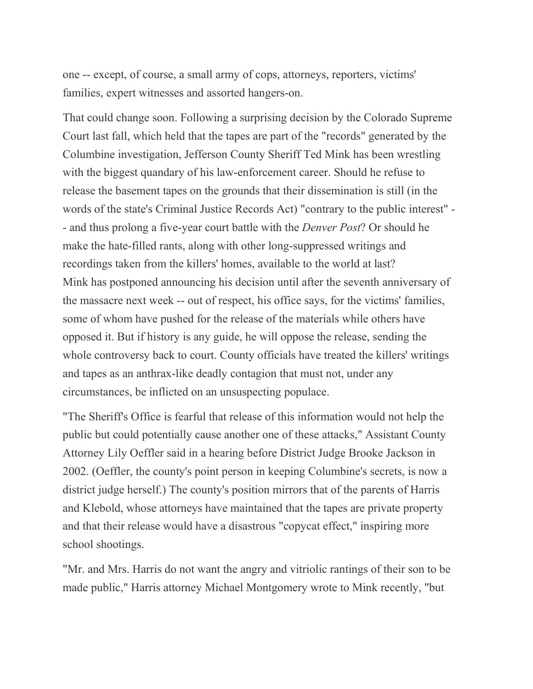one -- except, of course, a small army of cops, attorneys, reporters, victims' families, expert witnesses and assorted hangers-on.

That could change soon. Following a surprising decision by the Colorado Supreme Court last fall, which held that the tapes are part of the "records" generated by the Columbine investigation, Jefferson County Sheriff Ted Mink has been wrestling with the biggest quandary of his law-enforcement career. Should he refuse to release the basement tapes on the grounds that their dissemination is still (in the words of the state's Criminal Justice Records Act) "contrary to the public interest" - - and thus prolong a five-year court battle with the *Denver Post*? Or should he make the hate-filled rants, along with other long-suppressed writings and recordings taken from the killers' homes, available to the world at last? Mink has postponed announcing his decision until after the seventh anniversary of the massacre next week -- out of respect, his office says, for the victims' families, some of whom have pushed for the release of the materials while others have opposed it. But if history is any guide, he will oppose the release, sending the whole controversy back to court. County officials have treated the killers' writings and tapes as an anthrax-like deadly contagion that must not, under any circumstances, be inflicted on an unsuspecting populace.

"The Sheriff's Office is fearful that release of this information would not help the public but could potentially cause another one of these attacks," Assistant County Attorney Lily Oeffler said in a hearing before District Judge Brooke Jackson in 2002. (Oeffler, the county's point person in keeping Columbine's secrets, is now a district judge herself.) The county's position mirrors that of the parents of Harris and Klebold, whose attorneys have maintained that the tapes are private property and that their release would have a disastrous "copycat effect," inspiring more school shootings.

"Mr. and Mrs. Harris do not want the angry and vitriolic rantings of their son to be made public," Harris attorney Michael Montgomery wrote to Mink recently, "but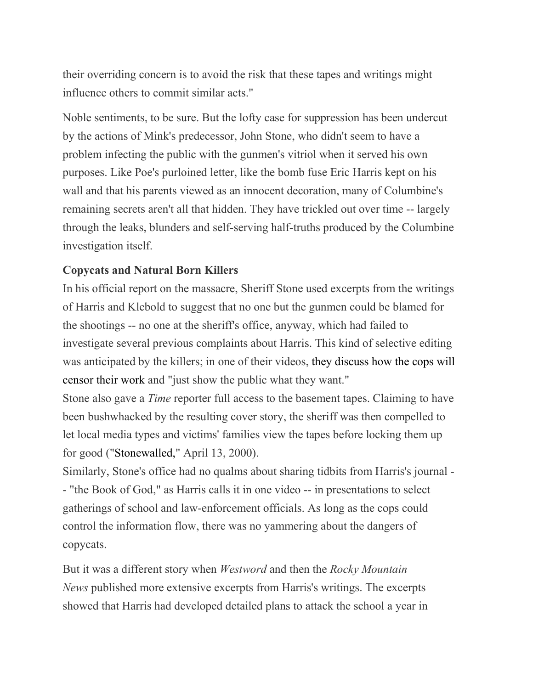their overriding concern is to avoid the risk that these tapes and writings might influence others to commit similar acts."

Noble sentiments, to be sure. But the lofty case for suppression has been undercut by the actions of Mink's predecessor, John Stone, who didn't seem to have a problem infecting the public with the gunmen's vitriol when it served his own purposes. Like Poe's purloined letter, like the bomb fuse Eric Harris kept on his wall and that his parents viewed as an innocent decoration, many of Columbine's remaining secrets aren't all that hidden. They have trickled out over time -- largely through the leaks, blunders and self-serving half-truths produced by the Columbine investigation itself.

## **Copycats and Natural Born Killers**

In his official report on the massacre, Sheriff Stone used excerpts from the writings of Harris and Klebold to suggest that no one but the gunmen could be blamed for the shootings -- no one at the sheriff's office, anyway, which had failed to investigate several previous complaints about Harris. This kind of selective editing was anticipated by the killers; in one of their videos, they [discuss](https://www.westword.com/art/media/columbine1.pdf) how the cops will [censor](https://www.westword.com/art/media/columbine1.pdf) their work and "just show the public what they want."

Stone also gave a *Time* reporter full access to the basement tapes. Claiming to have been bushwhacked by the resulting cover story, the sheriff was then compelled to let local media types and victims' families view the tapes before locking them up for good (["Stonewalled,](https://www.westword.com/Issues/2000-04-13/news/feature.html)" April 13, 2000).

Similarly, Stone's office had no qualms about sharing tidbits from Harris's journal - - "the Book of God," as Harris calls it in one video -- in presentations to select gatherings of school and law-enforcement officials. As long as the cops could control the information flow, there was no yammering about the dangers of copycats.

But it was a different story when *Westword* and then the *Rocky Mountain News* published more extensive excerpts from Harris's writings. The excerpts showed that Harris had developed detailed plans to attack the school a year in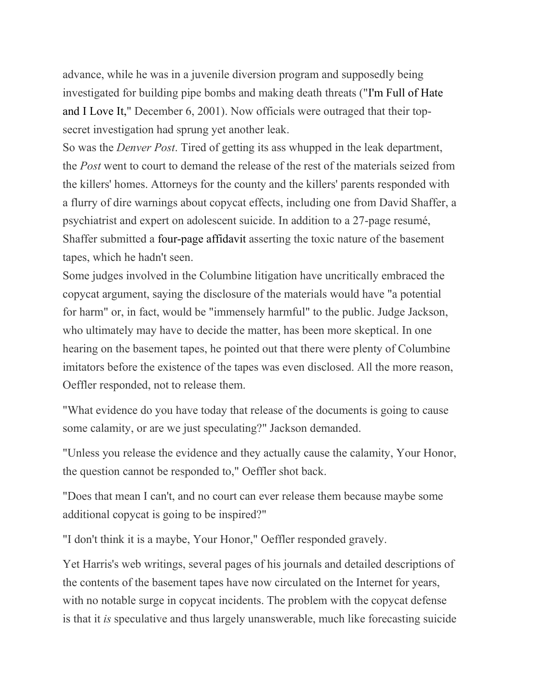advance, while he was in a juvenile diversion program and supposedly being investigated for building pipe bombs and making death threats ("I'm Full of [Hate](https://www.westword.com/issues/2001-12-06/news.html) and I [Love](https://www.westword.com/issues/2001-12-06/news.html) It," December 6, 2001). Now officials were outraged that their topsecret investigation had sprung yet another leak.

So was the *Denver Post*. Tired of getting its ass whupped in the leak department, the *Post* went to court to demand the release of the rest of the materials seized from the killers' homes. Attorneys for the county and the killers' parents responded with a flurry of dire warnings about copycat effects, including one from David Shaffer, a psychiatrist and expert on adolescent suicide. In addition to a 27-page resumé, Shaffer submitted a [four-page](https://www.westword.com/art/media/columbine2.pdf) affidavit asserting the toxic nature of the basement tapes, which he hadn't seen.

Some judges involved in the Columbine litigation have uncritically embraced the copycat argument, saying the disclosure of the materials would have "a potential for harm" or, in fact, would be "immensely harmful" to the public. Judge Jackson, who ultimately may have to decide the matter, has been more skeptical. In one hearing on the basement tapes, he pointed out that there were plenty of Columbine imitators before the existence of the tapes was even disclosed. All the more reason, Oeffler responded, not to release them.

"What evidence do you have today that release of the documents is going to cause some calamity, or are we just speculating?" Jackson demanded.

"Unless you release the evidence and they actually cause the calamity, Your Honor, the question cannot be responded to," Oeffler shot back.

"Does that mean I can't, and no court can ever release them because maybe some additional copycat is going to be inspired?"

"I don't think it is a maybe, Your Honor," Oeffler responded gravely.

Yet Harris's web writings, several pages of his journals and detailed descriptions of the contents of the basement tapes have now circulated on the Internet for years, with no notable surge in copycat incidents. The problem with the copycat defense is that it *is* speculative and thus largely unanswerable, much like forecasting suicide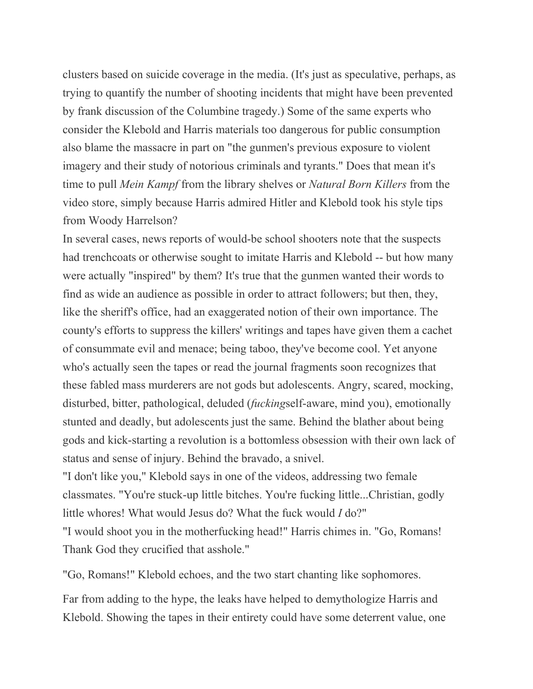clusters based on suicide coverage in the media. (It's just as speculative, perhaps, as trying to quantify the number of shooting incidents that might have been prevented by frank discussion of the Columbine tragedy.) Some of the same experts who consider the Klebold and Harris materials too dangerous for public consumption also blame the massacre in part on "the gunmen's previous exposure to violent imagery and their study of notorious criminals and tyrants." Does that mean it's time to pull *Mein Kampf* from the library shelves or *Natural Born Killers* from the video store, simply because Harris admired Hitler and Klebold took his style tips from Woody Harrelson?

In several cases, news reports of would-be school shooters note that the suspects had trenchcoats or otherwise sought to imitate Harris and Klebold -- but how many were actually "inspired" by them? It's true that the gunmen wanted their words to find as wide an audience as possible in order to attract followers; but then, they, like the sheriff's office, had an exaggerated notion of their own importance. The county's efforts to suppress the killers' writings and tapes have given them a cachet of consummate evil and menace; being taboo, they've become cool. Yet anyone who's actually seen the tapes or read the journal fragments soon recognizes that these fabled mass murderers are not gods but adolescents. Angry, scared, mocking, disturbed, bitter, pathological, deluded (*fucking*self-aware, mind you), emotionally stunted and deadly, but adolescents just the same. Behind the blather about being gods and kick-starting a revolution is a bottomless obsession with their own lack of status and sense of injury. Behind the bravado, a snivel.

"I don't like you," Klebold says in one of the videos, addressing two female classmates. "You're stuck-up little bitches. You're fucking little...Christian, godly little whores! What would Jesus do? What the fuck would *I* do?" "I would shoot you in the motherfucking head!" Harris chimes in. "Go, Romans! Thank God they crucified that asshole."

"Go, Romans!" Klebold echoes, and the two start chanting like sophomores.

Far from adding to the hype, the leaks have helped to demythologize Harris and Klebold. Showing the tapes in their entirety could have some deterrent value, one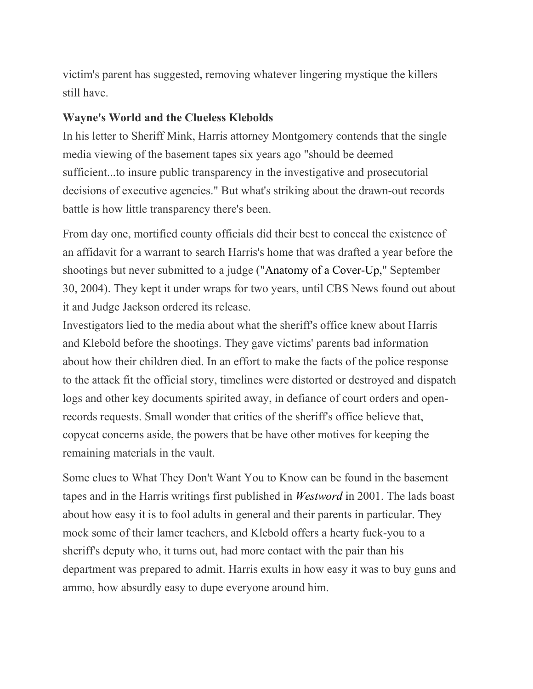victim's parent has suggested, removing whatever lingering mystique the killers still have.

## **Wayne's World and the Clueless Klebolds**

In his letter to Sheriff Mink, Harris attorney Montgomery contends that the single media viewing of the basement tapes six years ago "should be deemed sufficient...to insure public transparency in the investigative and prosecutorial decisions of executive agencies." But what's striking about the drawn-out records battle is how little transparency there's been.

From day one, mortified county officials did their best to conceal the existence of an affidavit for a warrant to search Harris's home that was drafted a year before the shootings but never submitted to a judge ("Anatomy of a [Cover-Up,](https://www.westword.com/issues/2004-09-30/news/news.html)" September 30, 2004). They kept it under wraps for two years, until CBS News found out about it and Judge Jackson ordered its release.

Investigators lied to the media about what the sheriff's office knew about Harris and Klebold before the shootings. They gave victims' parents bad information about how their children died. In an effort to make the facts of the police response to the attack fit the official story, timelines were distorted or destroyed and dispatch logs and other key documents spirited away, in defiance of court orders and openrecords requests. Small wonder that critics of the sheriff's office believe that, copycat concerns aside, the powers that be have other motives for keeping the remaining materials in the vault.

Some clues to What They Don't Want You to Know can be found in the basement tapes and in the Harris writings first published in *[Westword](https://www.westword.com/issues/2001-12-06/news.html)* in 2001. The lads boast about how easy it is to fool adults in general and their parents in particular. They mock some of their lamer teachers, and Klebold offers a hearty fuck-you to a sheriff's deputy who, it turns out, had more contact with the pair than his department was prepared to admit. Harris exults in how easy it was to buy guns and ammo, how absurdly easy to dupe everyone around him.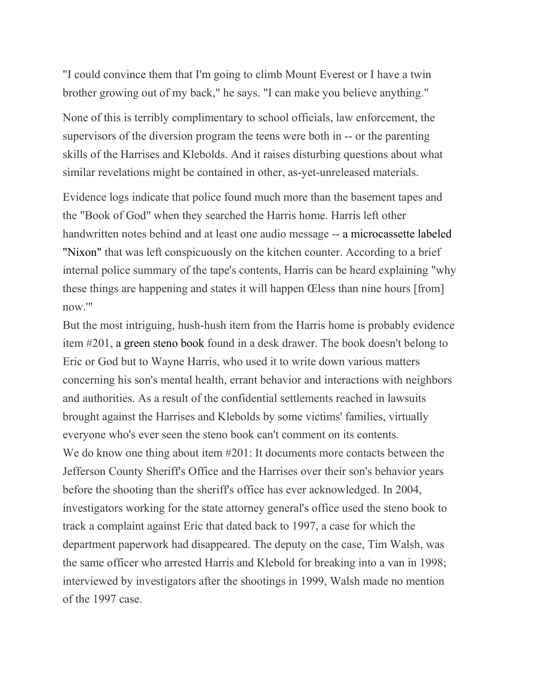"I could convince them that I'm going to climb Mount Everest or I have a twin brother growing out of my back," he says. "I can make you believe anything."

None of this is terribly complimentary to school officials, law enforcement, the supervisors of the diversion program the teens were both in -- or the parenting skills of the Harrises and Klebolds. And it raises disturbing questions about what similar revelations might be contained in other, as-yet-unreleased materials.

Evidence logs indicate that police found much more than the basement tapes and the "Book of God" when they searched the Harris home. Harris left other handwritten notes behind and at least one audio message -- a [microcassette](https://www.westword.com/art/media/columbine3.pdf) labeled ["Nixon"](https://www.westword.com/art/media/columbine3.pdf) that was left conspicuously on the kitchen counter. According to a brief internal police summary of the tape's contents, Harris can be heard explaining "why these things are happening and states it will happen Œless than nine hours [from] now.'"

But the most intriguing, hush-hush item from the Harris home is probably evidence item #201, a [green](https://www.westword.com/art/media/columbine4.pdf) steno book found in a desk drawer. The book doesn't belong to Eric or God but to Wayne Harris, who used it to write down various matters concerning his son's mental health, errant behavior and interactions with neighbors and authorities. As a result of the confidential settlements reached in lawsuits brought against the Harrises and Klebolds by some victims' families, virtually everyone who's ever seen the steno book can't comment on its contents. We do know one thing about item  $#201$ : It documents more contacts between the Jefferson County Sheriff's Office and the Harrises over their son's behavior years before the shooting than the sheriff's office has ever acknowledged. In 2004, investigators working for the state attorney general's office used the steno book to track a complaint against Eric that dated back to 1997, a case for which the department paperwork had disappeared. The deputy on the case, Tim Walsh, was the same officer who arrested Harris and Klebold for breaking into a van in 1998; interviewed by investigators after the shootings in 1999, Walsh made no mention of the 1997 case.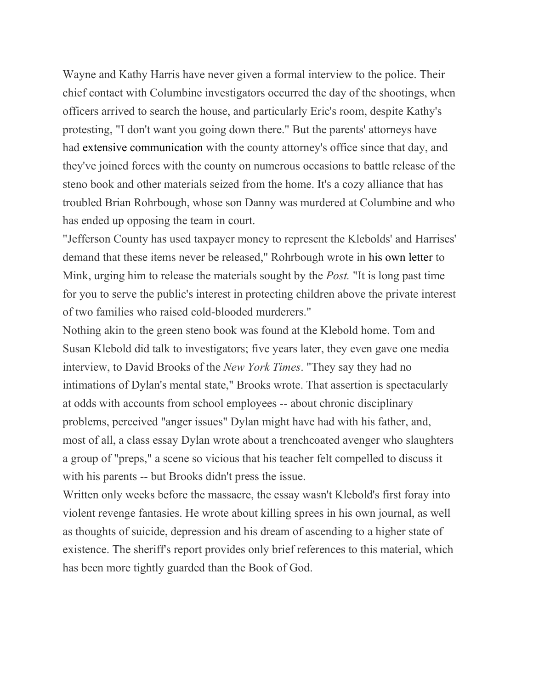Wayne and Kathy Harris have never given a formal interview to the police. Their chief contact with Columbine investigators occurred the day of the shootings, when officers arrived to search the house, and particularly Eric's room, despite Kathy's protesting, "I don't want you going down there." But the parents' attorneys have had extensive [communication](https://www.westword.com/art/media/columbine5.pdf) with the county attorney's office since that day, and they've joined forces with the county on numerous occasions to battle release of the steno book and other materials seized from the home. It's a cozy alliance that has troubled Brian Rohrbough, whose son Danny was murdered at Columbine and who has ended up opposing the team in court.

"Jefferson County has used taxpayer money to represent the Klebolds' and Harrises' demand that these items never be released," Rohrbough wrote in his own [letter](https://www.westword.com/art/media/columbine6.pdf) to Mink, urging him to release the materials sought by the *Post.* "It is long past time for you to serve the public's interest in protecting children above the private interest of two families who raised cold-blooded murderers."

Nothing akin to the green steno book was found at the Klebold home. Tom and Susan Klebold did talk to investigators; five years later, they even gave one media interview, to David Brooks of the *New York Times*. "They say they had no intimations of Dylan's mental state," Brooks wrote. That assertion is spectacularly at odds with accounts from school employees -- about chronic disciplinary problems, perceived "anger issues" Dylan might have had with his father, and, most of all, a class essay Dylan wrote about a trenchcoated avenger who slaughters a group of "preps," a scene so vicious that his teacher felt compelled to discuss it with his parents -- but Brooks didn't press the issue.

Written only weeks before the massacre, the essay wasn't Klebold's first foray into violent revenge fantasies. He wrote about killing sprees in his own journal, as well as thoughts of suicide, depression and his dream of ascending to a higher state of existence. The sheriff's report provides only brief references to this material, which has been more tightly guarded than the Book of God.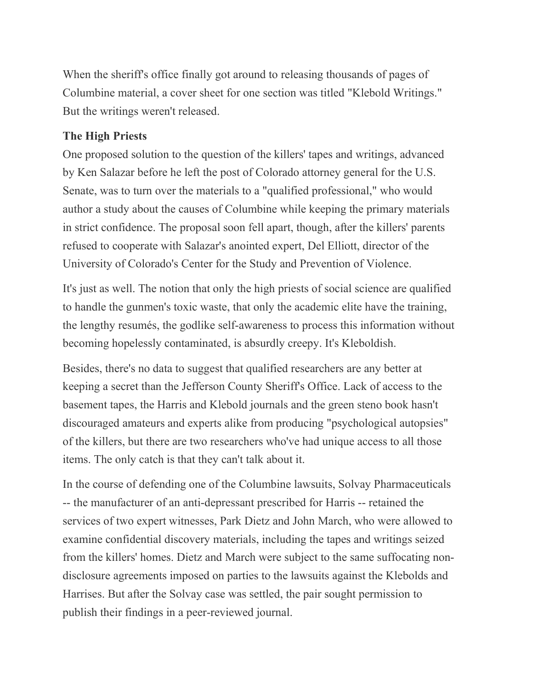When the sheriff's office finally got around to releasing thousands of pages of Columbine material, a cover sheet for one section was titled "Klebold Writings." But the writings weren't released.

## **The High Priests**

One proposed solution to the question of the killers' tapes and writings, advanced by Ken Salazar before he left the post of Colorado attorney general for the U.S. Senate, was to turn over the materials to a "qualified professional," who would author a study about the causes of Columbine while keeping the primary materials in strict confidence. The proposal soon fell apart, though, after the killers' parents refused to cooperate with Salazar's anointed expert, Del Elliott, director of the University of Colorado's Center for the Study and Prevention of Violence.

It's just as well. The notion that only the high priests of social science are qualified to handle the gunmen's toxic waste, that only the academic elite have the training, the lengthy resumés, the godlike self-awareness to process this information without becoming hopelessly contaminated, is absurdly creepy. It's Kleboldish.

Besides, there's no data to suggest that qualified researchers are any better at keeping a secret than the Jefferson County Sheriff's Office. Lack of access to the basement tapes, the Harris and Klebold journals and the green steno book hasn't discouraged amateurs and experts alike from producing "psychological autopsies" of the killers, but there are two researchers who've had unique access to all those items. The only catch is that they can't talk about it.

In the course of defending one of the Columbine lawsuits, Solvay Pharmaceuticals -- the manufacturer of an anti-depressant prescribed for Harris -- retained the services of two expert witnesses, Park Dietz and John March, who were allowed to examine confidential discovery materials, including the tapes and writings seized from the killers' homes. Dietz and March were subject to the same suffocating nondisclosure agreements imposed on parties to the lawsuits against the Klebolds and Harrises. But after the Solvay case was settled, the pair sought permission to publish their findings in a peer-reviewed journal.